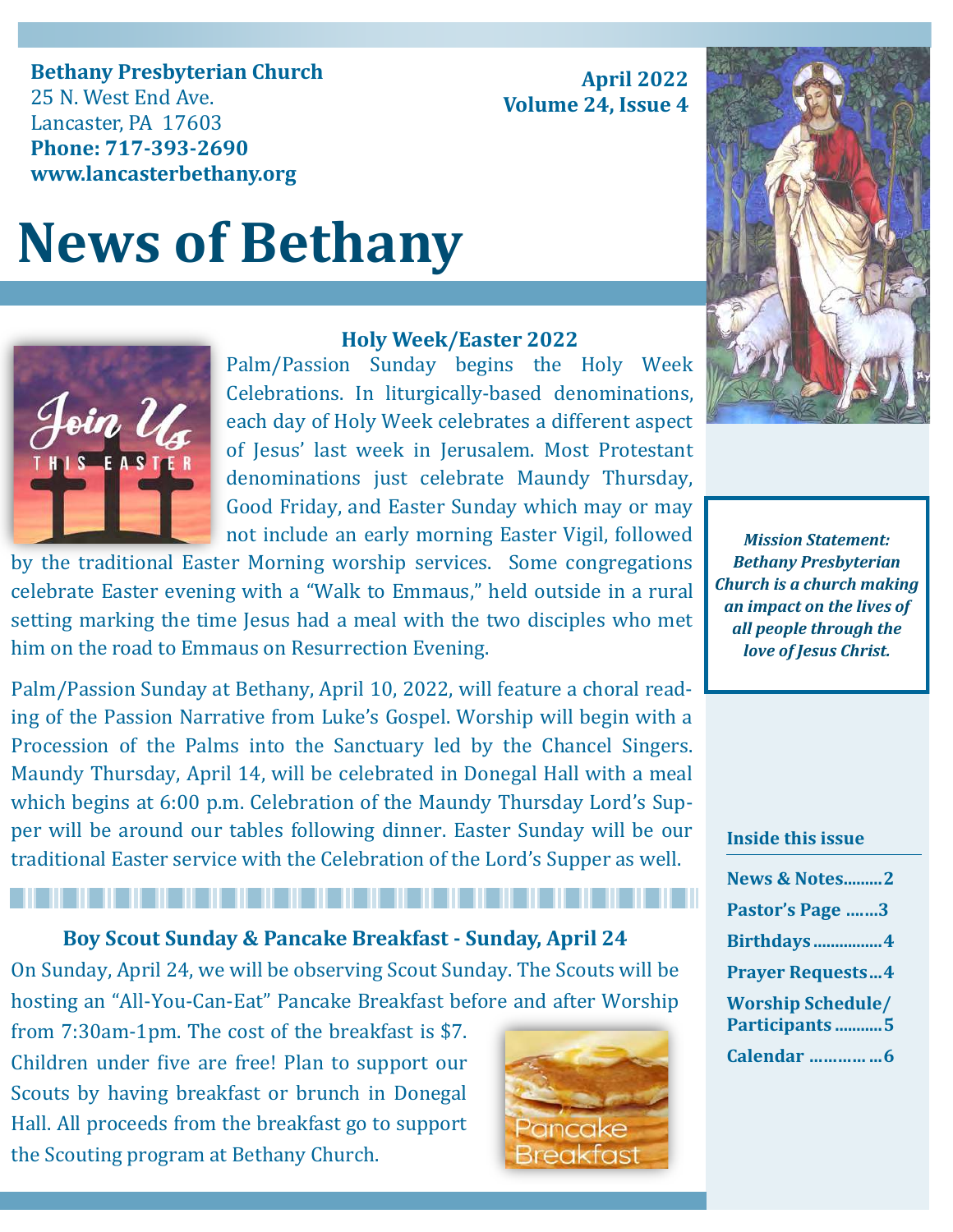**Bethany Presbyterian Church** 25 N. West End Ave. Lancaster, PA 17603 **Phone: 717-393-2690 www.lancasterbethany.org**

# **News of Bethany**



### **Holy Week/Easter 2022**

Palm/Passion Sunday begins the Holy Week Celebrations. In liturgically-based denominations, each day of Holy Week celebrates a different aspect of Jesus' last week in Jerusalem. Most Protestant denominations just celebrate Maundy Thursday, Good Friday, and Easter Sunday which may or may not include an early morning Easter Vigil, followed

by the traditional Easter Morning worship services. Some congregations celebrate Easter evening with a "Walk to Emmaus," held outside in a rural setting marking the time Jesus had a meal with the two disciples who met him on the road to Emmaus on Resurrection Evening.

Palm/Passion Sunday at Bethany, April 10, 2022, will feature a choral reading of the Passion Narrative from Luke's Gospel. Worship will begin with a Procession of the Palms into the Sanctuary led by the Chancel Singers. Maundy Thursday, April 14, will be celebrated in Donegal Hall with a meal which begins at 6:00 p.m. Celebration of the Maundy Thursday Lord's Supper will be around our tables following dinner. Easter Sunday will be our traditional Easter service with the Celebration of the Lord's Supper as well.

**Boy Scout Sunday & Pancake Breakfast - Sunday, April 24**

On Sunday, April 24, we will be observing Scout Sunday. The Scouts will be hosting an "All-You-Can-Eat" Pancake Breakfast before and after Worship

from 7:30am-1pm. The cost of the breakfast is \$7. Children under five are free! Plan to support our Scouts by having breakfast or brunch in Donegal Hall. All proceeds from the breakfast go to support the Scouting program at Bethany Church.





**April 2022**

**Volume 24, Issue 4**

*Mission Statement: Bethany Presbyterian Church is a church making an impact on the lives of all people through the love of Jesus Christ.*

#### **Inside this issue**

| <b>News &amp; Notes2</b>                  |  |
|-------------------------------------------|--|
| Pastor's Page 3                           |  |
| <b>Birthdays4</b>                         |  |
| <b>Prayer Requests4</b>                   |  |
| <b>Worship Schedule/</b><br>Participants5 |  |
|                                           |  |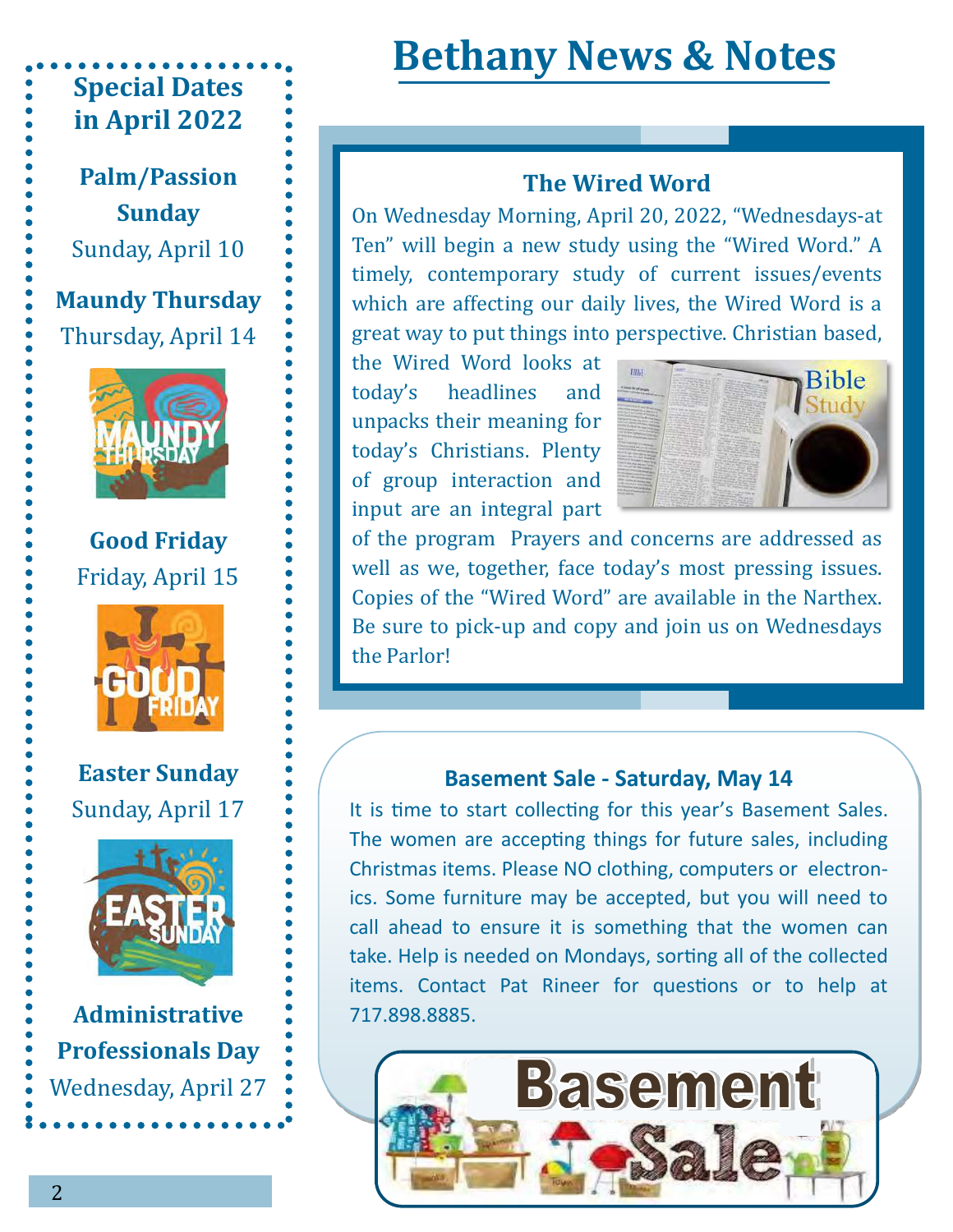# **Special Dates in April 2022**

**Palm/Passion Sunday** Sunday, April 10

**Maundy Thursday** Thursday, April 14



**Good Friday** Friday, April 15



**Easter Sunday** Sunday, April 17



**Administrative Professionals Day** Wednesday, April 27

# **Bethany News & Notes**

# **The Wired Word**

On Wednesday Morning, April 20, 2022, "Wednesdays-at Ten" will begin a new study using the "Wired Word." A timely, contemporary study of current issues/events which are affecting our daily lives, the Wired Word is a great way to put things into perspective. Christian based,

the Wired Word looks at today's headlines and unpacks their meaning for today's Christians. Plenty of group interaction and input are an integral part



of the program Prayers and concerns are addressed as well as we, together, face today's most pressing issues. Copies of the "Wired Word" are available in the Narthex. Be sure to pick-up and copy and join us on Wednesdays the Parlor!

## **Basement Sale - Saturday, May 14**

It is time to start collecting for this year's Basement Sales. The women are accepting things for future sales, including Christmas items. Please NO clothing, computers or electronics. Some furniture may be accepted, but you will need to call ahead to ensure it is something that the women can take. Help is needed on Mondays, sorting all of the collected items. Contact Pat Rineer for questions or to help at 717.898.8885.

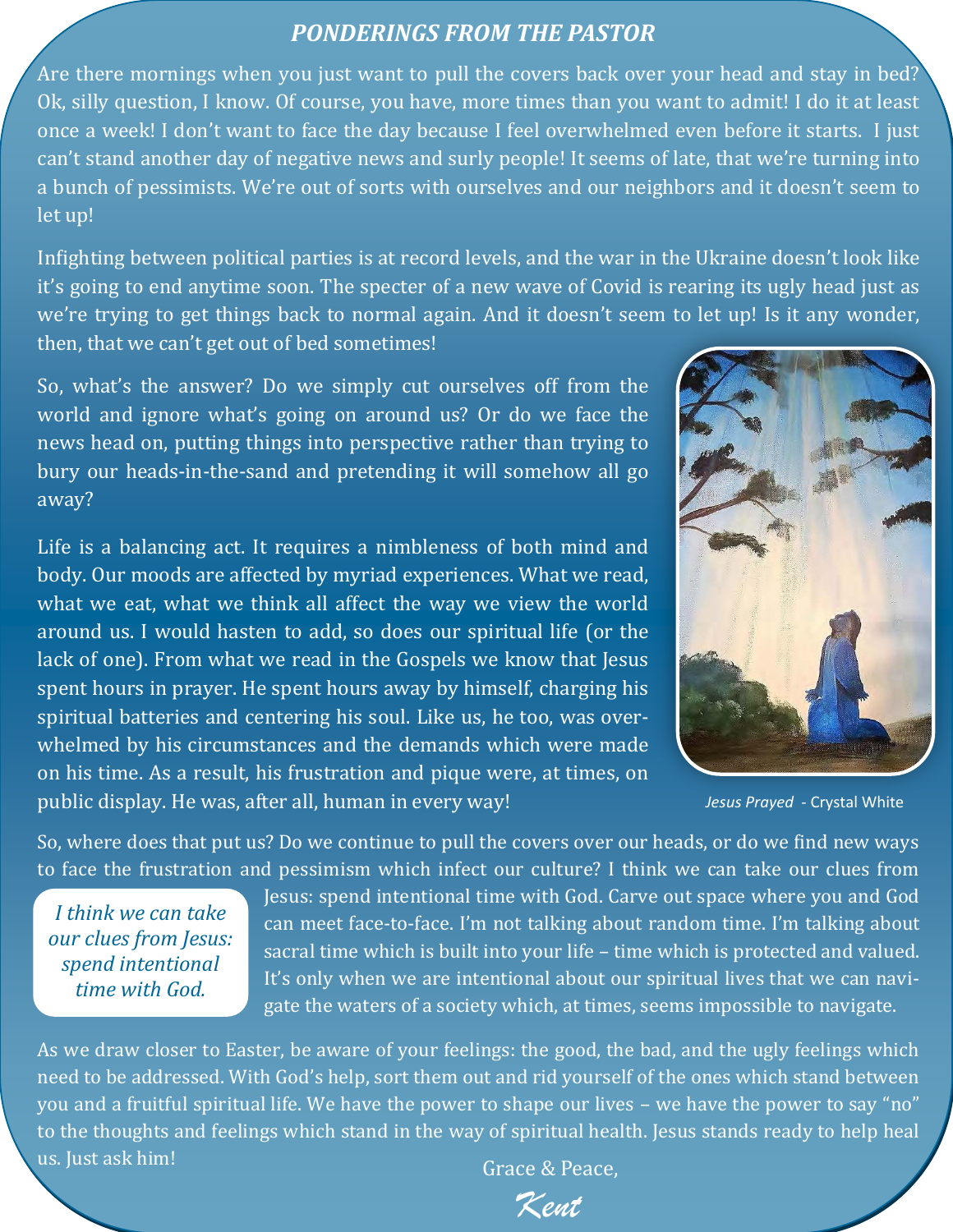## *PONDERINGS FROM THE PASTOR*

Are there mornings when you just want to pull the covers back over your head and stay in bed? Ok, silly question, I know. Of course, you have, more times than you want to admit! I do it at least once a week! I don't want to face the day because I feel overwhelmed even before it starts. I just can't stand another day of negative news and surly people! It seems of late, that we're turning into a bunch of pessimists. We're out of sorts with ourselves and our neighbors and it doesn't seem to let up!

Infighting between political parties is at record levels, and the war in the Ukraine doesn't look like it's going to end anytime soon. The specter of a new wave of Covid is rearing its ugly head just as we're trying to get things back to normal again. And it doesn't seem to let up! Is it any wonder, then, that we can't get out of bed sometimes!

So, what's the answer? Do we simply cut ourselves off from the world and ignore what's going on around us? Or do we face the news head on, putting things into perspective rather than trying to bury our heads-in-the-sand and pretending it will somehow all go away?

Life is a balancing act. It requires a nimbleness of both mind and body. Our moods are affected by myriad experiences. What we read, what we eat, what we think all affect the way we view the world around us. I would hasten to add, so does our spiritual life (or the lack of one). From what we read in the Gospels we know that Jesus spent hours in prayer. He spent hours away by himself, charging his spiritual batteries and centering his soul. Like us, he too, was overwhelmed by his circumstances and the demands which were made on his time. As a result, his frustration and pique were, at times, on public display. He was, after all, human in every way!



*Jesus Prayed* - Crystal White

So, where does that put us? Do we continue to pull the covers over our heads, or do we find new ways to face the frustration and pessimism which infect our culture? I think we can take our clues from

*I think we can take our clues from Jesus: spend intentional time with God.*

Jesus: spend intentional time with God. Carve out space where you and God can meet face-to-face. I'm not talking about random time. I'm talking about sacral time which is built into your life – time which is protected and valued. It's only when we are intentional about our spiritual lives that we can navigate the waters of a society which, at times, seems impossible to navigate.

As we draw closer to Easter, be aware of your feelings: the good, the bad, and the ugly feelings which need to be addressed. With God's help, sort them out and rid yourself of the ones which stand between you and a fruitful spiritual life. We have the power to shape our lives – we have the power to say "no" to the thoughts and feelings which stand in the way of spiritual health. Jesus stands ready to help heal us. Just ask him!

Grace & Peace,

Kent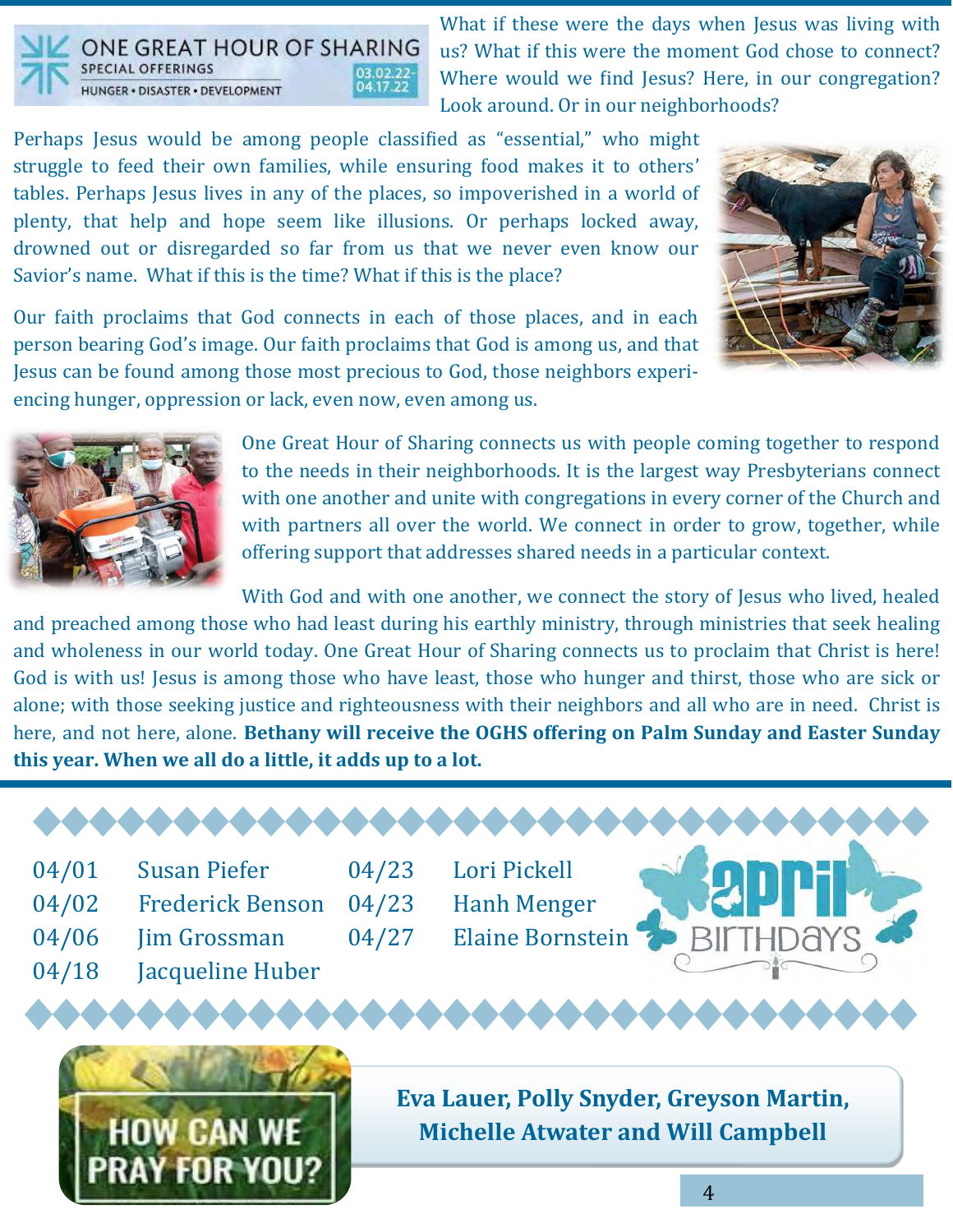

E GREAT HOUR OF SHARING **SPECIAL OFFERINGS** HUNGER · DISASTER · DEVELOPMENT

What if these were the days when Jesus was living with us? What if this were the moment God chose to connect? Where would we find Jesus? Here, in our congregation? Look around. Or in our neighborhoods?

Perhaps Jesus would be among people classified as "essential," who might struggle to feed their own families, while ensuring food makes it to others' tables. Perhaps Jesus lives in any of the places, so impoverished in a world of plenty, that help and hope seem like illusions. Or perhaps locked away, drowned out or disregarded so far from us that we never even know our Savior's name. What if this is the time? What if this is the place?



Our faith proclaims that God connects in each of those places, and in each person bearing God's image. Our faith proclaims that God is among us, and that Jesus can be found among those most precious to God, those neighbors experiencing hunger, oppression or lack, even now, even among us.



One Great Hour of Sharing connects us with people coming together to respond to the needs in their neighborhoods. It is the largest way Presbyterians connect with one another and unite with congregations in every corner of the Church and with partners all over the world. We connect in order to grow, together, while offering support that addresses shared needs in a particular context.

With God and with one another, we connect the story of Jesus who lived, healed and preached among those who had least during his earthly ministry, through ministries that seek healing and wholeness in our world today. One Great Hour of Sharing connects us to proclaim that Christ is here! God is with us! Jesus is among those who have least, those who hunger and thirst, those who are sick or alone; with those seeking justice and righteousness with their neighbors and all who are in need. Christ is here, and not here, alone. **Bethany will receive the OGHS offering on Palm Sunday and Easter Sunday this year. When we all do a little, it adds up to a lot.** 

04/01 Susan Piefer 04/02 Frederick Benson 04/06 Jim Grossman 04/18 Jacqueline Huber

04/23 Lori Pickell 04/23 Hanh Menger 04/27 Elaine Bornstein



**Eva Lauer, Polly Snyder, Greyson Martin, Michelle Atwater and Will Campbell**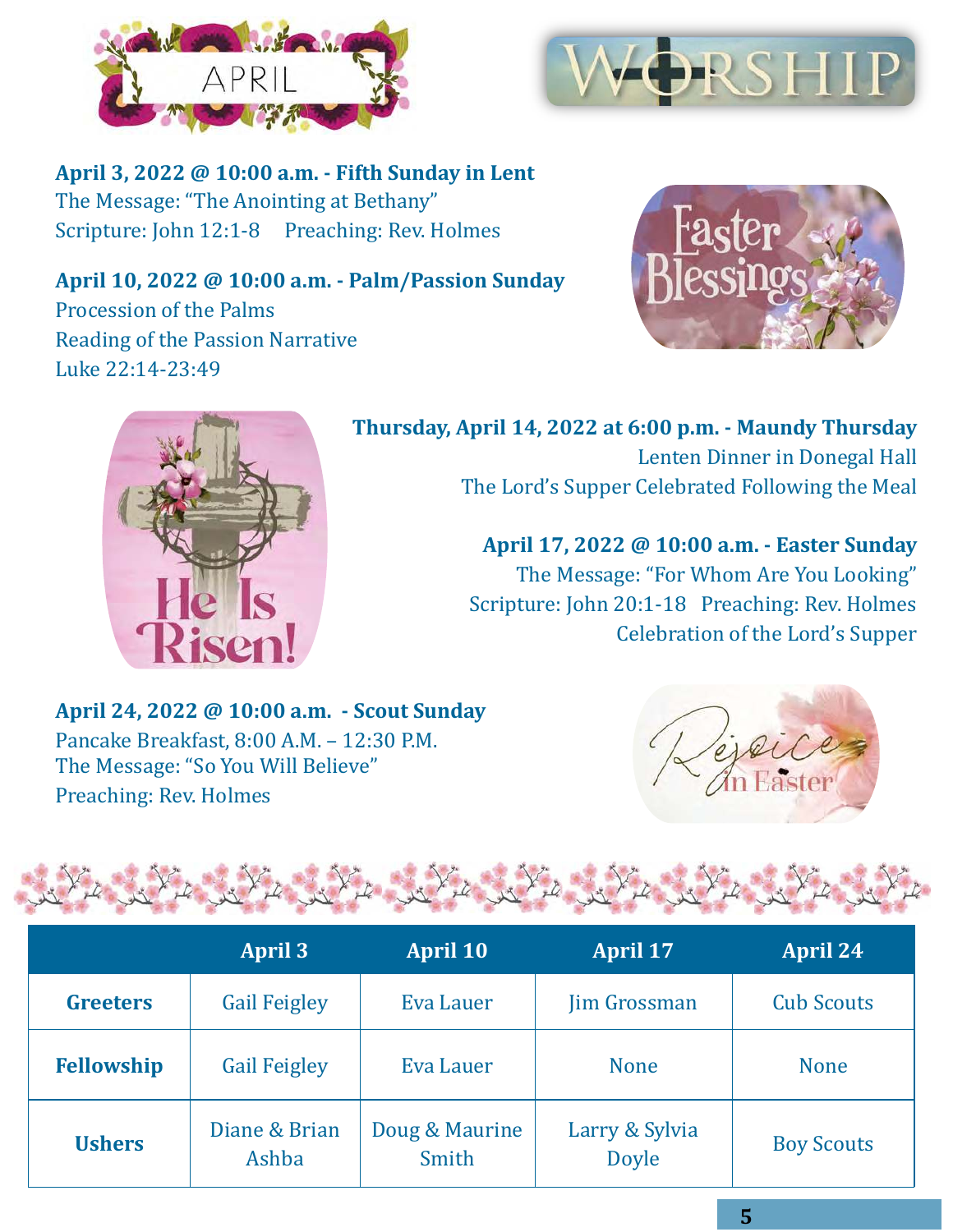



**April 3, 2022 @ 10:00 a.m. - Fifth Sunday in Lent** The Message: "The Anointing at Bethany" Scripture: John 12:1-8 Preaching: Rev. Holmes

**April 10, 2022 @ 10:00 a.m. - Palm/Passion Sunday** Procession of the Palms Reading of the Passion Narrative Luke 22:14-23:49





**Thursday, April 14, 2022 at 6:00 p.m. - Maundy Thursday** Lenten Dinner in Donegal Hall The Lord's Supper Celebrated Following the Meal

> **April 17, 2022 @ 10:00 a.m. - Easter Sunday** The Message: "For Whom Are You Looking" Scripture: John 20:1-18 Preaching: Rev. Holmes Celebration of the Lord's Supper

**April 24, 2022 @ 10:00 a.m. - Scout Sunday** Pancake Breakfast, 8:00 A.M. – 12:30 P.M. The Message: "So You Will Believe" Preaching: Rev. Holmes



|                   | <b>CONTRACTOR</b>      |                         |                                |                   |
|-------------------|------------------------|-------------------------|--------------------------------|-------------------|
|                   | April $3$              | <b>April 10</b>         | <b>April 17</b>                | <b>April 24</b>   |
| <b>Greeters</b>   | <b>Gail Feigley</b>    | Eva Lauer               | <b>Jim Grossman</b>            | <b>Cub Scouts</b> |
| <b>Fellowship</b> | <b>Gail Feigley</b>    | Eva Lauer               | <b>None</b>                    | <b>None</b>       |
| <b>Ushers</b>     | Diane & Brian<br>Ashba | Doug & Maurine<br>Smith | Larry & Sylvia<br><b>Doyle</b> | <b>Boy Scouts</b> |

Attack the New York Standing the Standing